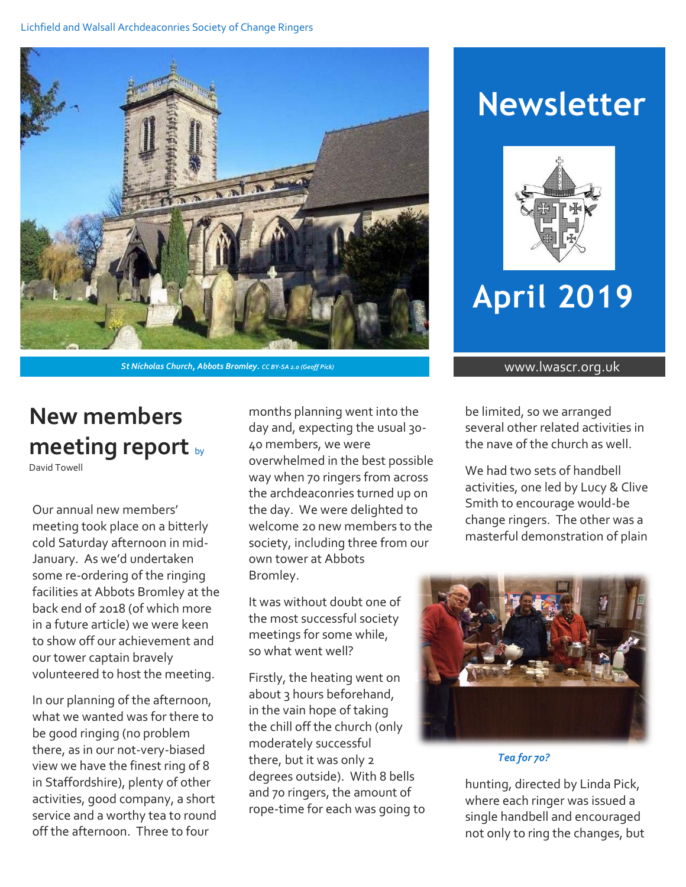#### Lichfield and Walsall Archdeaconries Society of Change Ringers



**St Nicholas Church, Abbots Bromley.** *CC BY-SA 2.0 (Geoff Pick)* www.lwascr.org.uk

# **New members meeting report** by

David Towell

Our annual new members' meeting took place on a bitterly cold Saturday afternoon in mid-January. As we'd undertaken some re-ordering of the ringing facilities at Abbots Bromley at the back end of 2018 (of which more in a future article) we were keen to show off our achievement and our tower captain bravely volunteered to host the meeting.

In our planning of the afternoon, what we wanted was for there to be good ringing (no problem there, as in our not-very-biased view we have the finest ring of 8 in Staffordshire), plenty of other activities, good company, a short service and a worthy tea to round off the afternoon. Three to four

months planning went into the day and, expecting the usual 30- 40 members, we were overwhelmed in the best possible way when 70 ringers from across the archdeaconries turned up on the day. We were delighted to welcome 20 new members to the society, including three from our own tower at Abbots Bromley.

It was without doubt one of the most successful society meetings for some while, so what went well?

Firstly, the heating went on about 3 hours beforehand, in the vain hope of taking the chill off the church (only moderately successful there, but it was only 2 degrees outside). With 8 bells and 70 ringers, the amount of rope-time for each was going to

# **Newsletter**



# **April 2019**

be limited, so we arranged several other related activities in the nave of the church as well.

We had two sets of handbell activities, one led by Lucy & Clive Smith to encourage would-be change ringers. The other was a masterful demonstration of plain



*Figure 1Tea for 70?Tea for 70?*

hunting, directed by Linda Pick, where each ringer was issued a single handbell and encouraged not only to ring the changes, but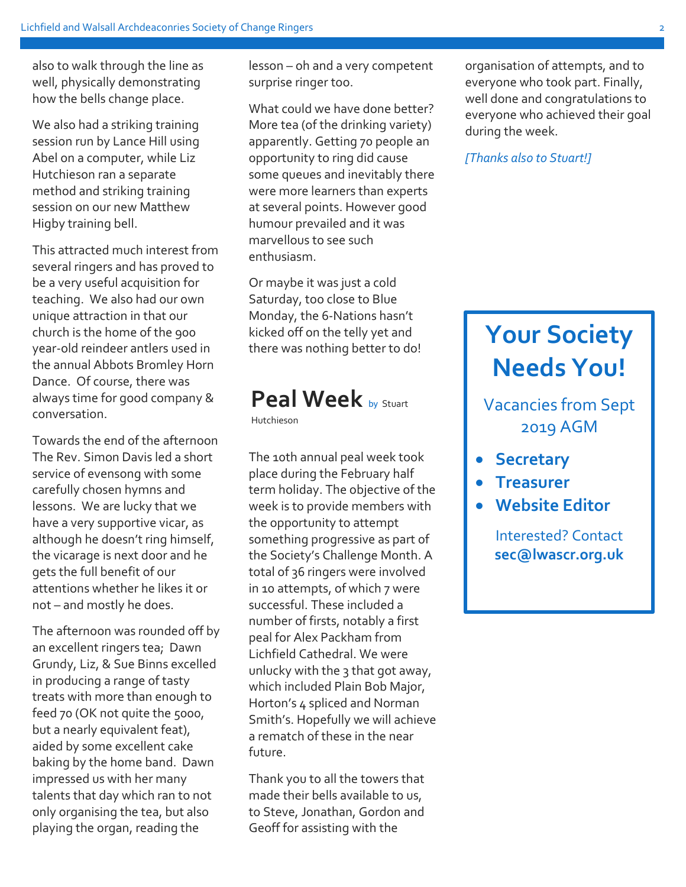also to walk through the line as well, physically demonstrating how the bells change place.

We also had a striking training session run by Lance Hill using Abel on a computer, while Liz Hutchieson ran a separate method and striking training session on our new Matthew Higby training bell.

This attracted much interest from several ringers and has proved to be a very useful acquisition for teaching. We also had our own unique attraction in that our church is the home of the 900 year-old reindeer antlers used in the annual Abbots Bromley Horn Dance. Of course, there was always time for good company & conversation.

Towards the end of the afternoon The Rev. Simon Davis led a short service of evensong with some carefully chosen hymns and lessons. We are lucky that we have a very supportive vicar, as although he doesn't ring himself, the vicarage is next door and he gets the full benefit of our attentions whether he likes it or not – and mostly he does.

The afternoon was rounded off by an excellent ringers tea; Dawn Grundy, Liz, & Sue Binns excelled in producing a range of tasty treats with more than enough to feed 70 (OK not quite the 5000, but a nearly equivalent feat), aided by some excellent cake baking by the home band. Dawn impressed us with her many talents that day which ran to not only organising the tea, but also playing the organ, reading the

lesson – oh and a very competent surprise ringer too.

What could we have done better? More tea (of the drinking variety) apparently. Getting 70 people an opportunity to ring did cause some queues and inevitably there were more learners than experts at several points. However good humour prevailed and it was marvellous to see such enthusiasm.

Or maybe it was just a cold Saturday, too close to Blue Monday, the 6-Nations hasn't kicked off on the telly yet and there was nothing better to do!

### **Peal Week** by Stuart

Hutchieson

The 10th annual peal week took place during the February half term holiday. The objective of the week is to provide members with the opportunity to attempt something progressive as part of the Society's Challenge Month. A total of 36 ringers were involved in 10 attempts, of which 7 were successful. These included a number of firsts, notably a first peal for Alex Packham from Lichfield Cathedral. We were unlucky with the 3 that got away, which included Plain Bob Major, Horton's 4 spliced and Norman Smith's. Hopefully we will achieve a rematch of these in the near future.

Thank you to all the towers that made their bells available to us, to Steve, Jonathan, Gordon and Geoff for assisting with the

organisation of attempts, and to everyone who took part. Finally, well done and congratulations to everyone who achieved their goal during the week.

*[Thanks also to Stuart!]*

## **Your Society Needs You!**

Vacancies from Sept 2019 AGM

- **•** Secretary
- **Treasurer**
- **Website Editor**

Interested? Contact **sec@lwascr.org.uk**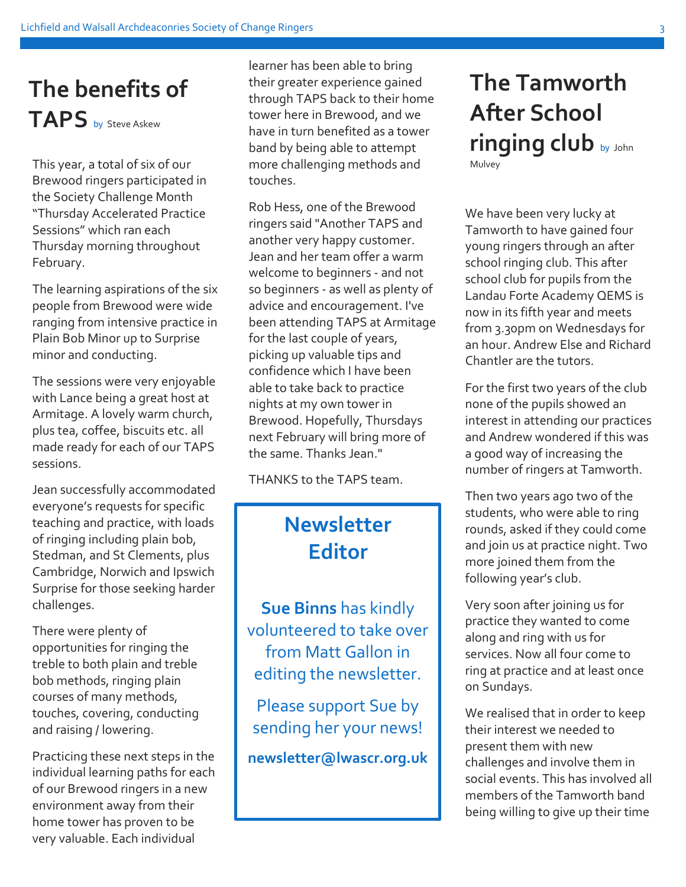## **The benefits of TAPS** by Steve Askew

Brewood ringers participated in the Society Challenge Month "Thursday Accelerated Practice Sessions" which ran each Thursday morning throughout February.

The learning aspirations of the six people from Brewood were wide ranging from intensive practice in Plain Bob Minor up to Surprise minor and conducting.

The sessions were very enjoyable with Lance being a great host at Armitage. A lovely warm church, plus tea, coffee, biscuits etc. all made ready for each of our TAPS sessions.

Jean successfully accommodated everyone's requests for specific teaching and practice, with loads of ringing including plain bob, Stedman, and St Clements, plus Cambridge, Norwich and Ipswich Surprise for those seeking harder challenges.

There were plenty of opportunities for ringing the treble to both plain and treble bob methods, ringing plain courses of many methods, touches, covering, conducting and raising / lowering.

Practicing these next steps in the individual learning paths for each of our Brewood ringers in a new environment away from their home tower has proven to be very valuable. Each individual

This year, a total of six of our **challenging methods and** Mulvey learner has been able to bring their greater experience gained through TAPS back to their home tower here in Brewood, and we have in turn benefited as a tower band by being able to attempt touches.

> Rob Hess, one of the Brewood ringers said "Another TAPS and another very happy customer. Jean and her team offer a warm welcome to beginners - and not so beginners - as well as plenty of advice and encouragement. I've been attending TAPS at Armitage for the last couple of years, picking up valuable tips and confidence which I have been able to take back to practice nights at my own tower in Brewood. Hopefully, Thursdays next February will bring more of the same. Thanks Jean."

THANKS to the TAPS team.

#### **Newsletter Editor**

**Sue Binns** has kindly volunteered to take over from Matt Gallon in editing the newsletter.

Please support Sue by sending her your news!

**newsletter@lwascr.org.uk**

# **The Tamworth After School ringing club** by John

We have been very lucky at Tamworth to have gained four young ringers through an after school ringing club. This after school club for pupils from the Landau Forte Academy QEMS is now in its fifth year and meets from 3.30pm on Wednesdays for an hour. Andrew Else and Richard Chantler are the tutors.

For the first two years of the club none of the pupils showed an interest in attending our practices and Andrew wondered if this was a good way of increasing the number of ringers at Tamworth.

Then two years ago two of the students, who were able to ring rounds, asked if they could come and join us at practice night. Two more joined them from the following year's club.

Very soon after joining us for practice they wanted to come along and ring with us for services. Now all four come to ring at practice and at least once on Sundays.

We realised that in order to keep their interest we needed to present them with new challenges and involve them in social events. This has involved all members of the Tamworth band being willing to give up their time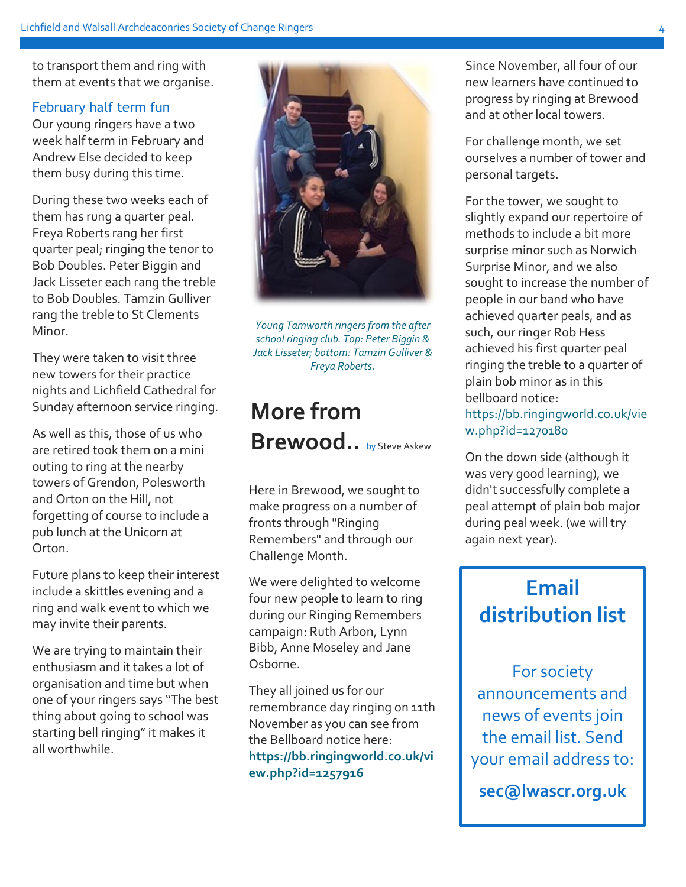to transport them and ring with them at events that we organise.

#### February half term fun

Our young ringers have a two week half term in February and Andrew Else decided to keep them busy during this time.

During these two weeks each of them has rung a quarter peal. Freya Roberts rang her first quarter peal; ringing the tenor to Bob Doubles. Peter Biggin and Jack Lisseter each rang the treble to Bob Doubles. Tamzin Gulliver rang the treble to St Clements Minor.

They were taken to visit three new towers for their practice nights and Lichfield Cathedral for Sunday afternoon service ringing.

As well as this, those of us who are retired took them on a mini outing to ring at the nearby towers of Grendon, Polesworth and Orton on the Hill, not forgetting of course to include a pub lunch at the Unicorn at Orton.

Future plans to keep their interest include a skittles evening and a ring and walk event to which we may invite their parents.

We are trying to maintain their enthusiasm and it takes a lot of organisation and time but when one of your ringers says "The best thing about going to school was starting bell ringing" it makes it all worthwhile.

*Young Tamworth ringers from the after school ringing club. Top: Peter Biggin & Jack Lisseter; bottom: Tamzin Gulliver & Freya Roberts.*

## **More from Brewood..** by Steve Askew

Here in Brewood, we sought to make progress on a number of fronts through "Ringing Remembers" and through our Challenge Month.

We were delighted to welcome four new people to learn to ring during our Ringing Remembers campaign: Ruth Arbon, Lynn Bibb, Anne Moseley and Jane Osborne.

They all joined us for our remembrance day ringing on 11th November as you can see from the Bellboard notice here: **https://bb.ringingworld.co.uk/vi ew.php?id=1257916**

Since November, all four of our new learners have continued to progress by ringing at Brewood and at other local towers.

For challenge month, we set ourselves a number of tower and personal targets.

For the tower, we sought to slightly expand our repertoire of methods to include a bit more surprise minor such as Norwich Surprise Minor, and we also sought to increase the number of people in our band who have achieved quarter peals, and as such, our ringer Rob Hess achieved his first quarter peal ringing the treble to a quarter of plain bob minor as in this bellboard notice: https://bb.ringingworld.co.uk/vie w.php?id=1270180

On the down side (although it was very good learning), we didn't successfully complete a peal attempt of plain bob major during peal week. (we will try again next year).

### **Email distribution list**

For society announcements and news of events join the email list. Send your email address to:

**sec@lwascr.org.uk**